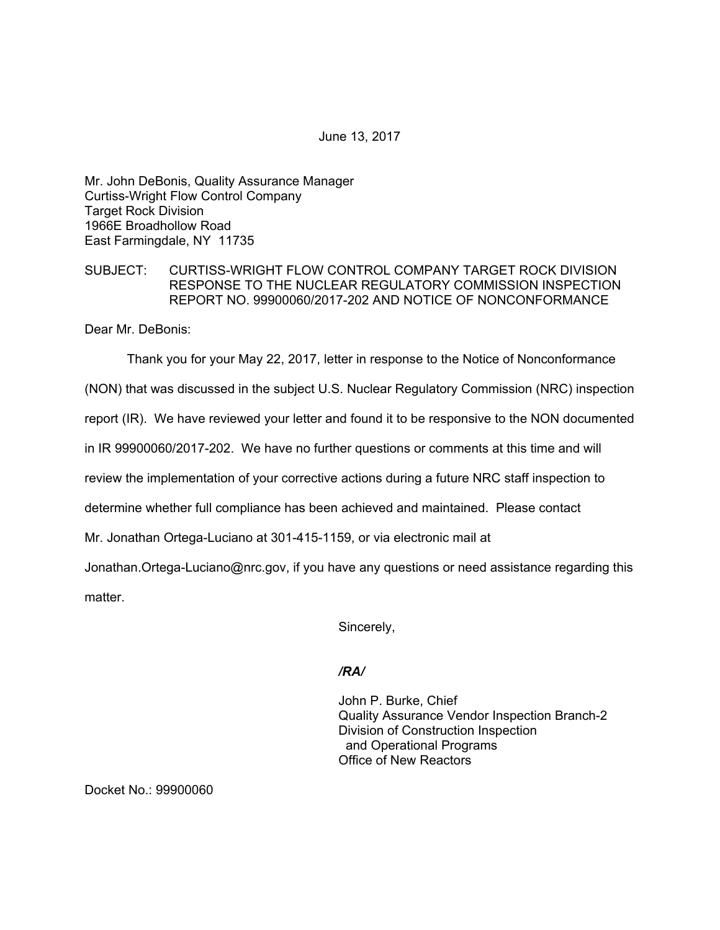June 13, 2017

Mr. John DeBonis, Quality Assurance Manager Curtiss-Wright Flow Control Company Target Rock Division 1966E Broadhollow Road East Farmingdale, NY 11735

## SUBJECT: CURTISS-WRIGHT FLOW CONTROL COMPANY TARGET ROCK DIVISION RESPONSE TO THE NUCLEAR REGULATORY COMMISSION INSPECTION REPORT NO. 99900060/2017-202 AND NOTICE OF NONCONFORMANCE

Dear Mr. DeBonis:

Thank you for your May 22, 2017, letter in response to the Notice of Nonconformance

(NON) that was discussed in the subject U.S. Nuclear Regulatory Commission (NRC) inspection

report (IR). We have reviewed your letter and found it to be responsive to the NON documented

in IR 99900060/2017-202. We have no further questions or comments at this time and will

review the implementation of your corrective actions during a future NRC staff inspection to

determine whether full compliance has been achieved and maintained. Please contact

Mr. Jonathan Ortega-Luciano at 301-415-1159, or via electronic mail at

Jonathan.Ortega-Luciano@nrc.gov, if you have any questions or need assistance regarding this matter.

Sincerely,

## */RA/*

John P. Burke, Chief Quality Assurance Vendor Inspection Branch-2 Division of Construction Inspection and Operational Programs Office of New Reactors

Docket No.: 99900060